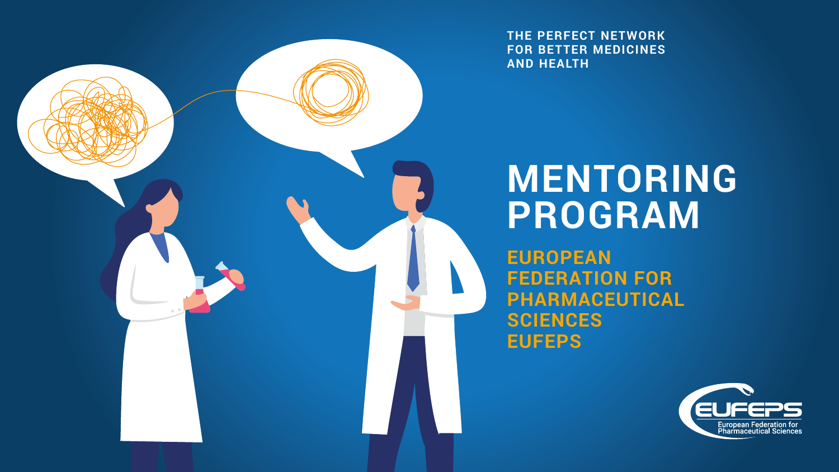

**THE PERFECT NETWORK FOR BETTER MEDICINES AND HEALTH**

# **MENTORING PROGRAM**

**EUROPEAN FEDERATION FOR PHARMACEUTICAL SCIENCES EUFEPS**

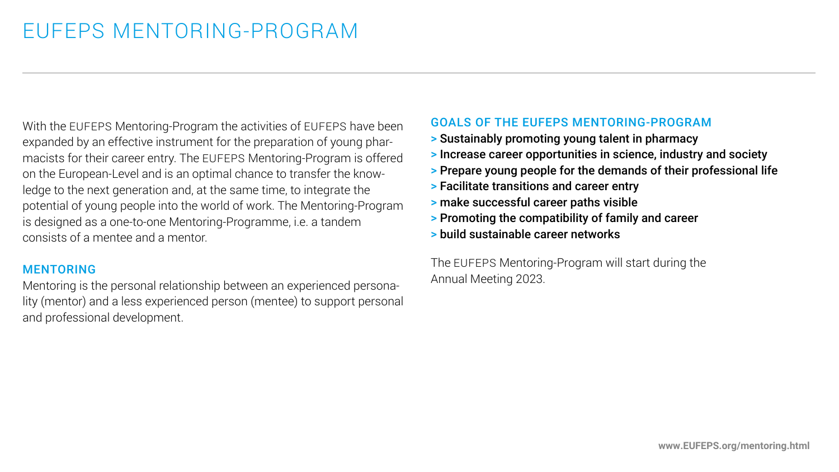## EUFEPS MENTORING-PROGRAM

With the EUFEPS Mentoring-Program the activities of EUFEPS have been expanded by an effective instrument for the preparation of young pharmacists for their career entry. The EUFEPS Mentoring-Program is offered on the European-Level and is an optimal chance to transfer the knowledge to the next generation and, at the same time, to integrate the potential of young people into the world of work. The Mentoring-Program is designed as a one-to-one Mentoring-Programme, i.e. a tandem consists of a mentee and a mentor.

#### **MENTORING**

Mentoring is the personal relationship between an experienced personality (mentor) and a less experienced person (mentee) to support personal and professional development.

#### GOALS OF THE EUFEPS MENTORING-PROGRAM

- > Sustainably promoting young talent in pharmacy
- > Increase career opportunities in science, industry and society
- > Prepare young people for the demands of their professional life
- > Facilitate transitions and career entry
- > make successful career paths visible
- > Promoting the compatibility of family and career
- > build sustainable career networks

The EUFEPS Mentoring-Program will start during the Annual Meeting 2023.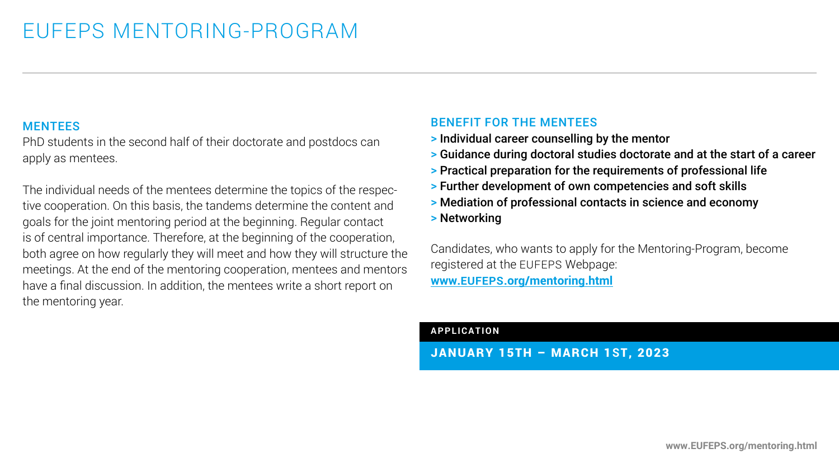#### MENTEES

PhD students in the second half of their doctorate and postdocs can apply as mentees.

The individual needs of the mentees determine the topics of the respective cooperation. On this basis, the tandems determine the content and goals for the joint mentoring period at the beginning. Regular contact is of central importance. Therefore, at the beginning of the cooperation, both agree on how regularly they will meet and how they will structure the meetings. At the end of the mentoring cooperation, mentees and mentors have a final discussion. In addition, the mentees write a short report on the mentoring year.

#### BENEFIT FOR THE MENTEES

- > Individual career counselling by the mentor
- > Guidance during doctoral studies doctorate and at the start of a career
- > Practical preparation for the requirements of professional life
- > Further development of own competencies and soft skills
- > Mediation of professional contacts in science and economy
- > Networking

Candidates, who wants to apply for the Mentoring-Program, become registered at the EUFEPS Webpage: **www.EUFEPS[.org/mentoring](http://www.eufeps.org/mentoring.html).html**

#### **APPLICATION**

JANUARY 15TH – MARCH 1**S**T, 2023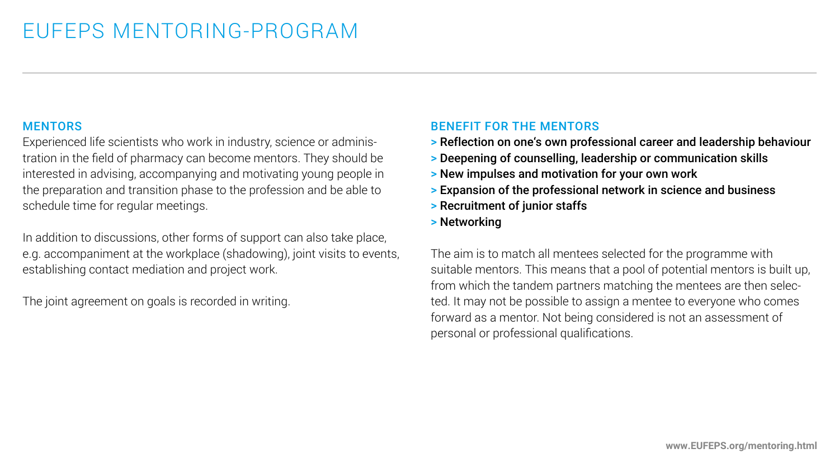#### **MENTORS**

Experienced life scientists who work in industry, science or administration in the field of pharmacy can become mentors. They should be interested in advising, accompanying and motivating young people in the preparation and transition phase to the profession and be able to schedule time for regular meetings.

In addition to discussions, other forms of support can also take place, e.g. accompaniment at the workplace (shadowing), joint visits to events, establishing contact mediation and project work.

The joint agreement on goals is recorded in writing.

### BENEFIT FOR THE MENTORS

- > Reflection on one's own professional career and leadership behaviour
- > Deepening of counselling, leadership or communication skills
- > New impulses and motivation for your own work
- > Expansion of the professional network in science and business
- > Recruitment of junior staffs
- > Networking

The aim is to match all mentees selected for the programme with suitable mentors. This means that a pool of potential mentors is built up, from which the tandem partners matching the mentees are then selected. It may not be possible to assign a mentee to everyone who comes forward as a mentor. Not being considered is not an assessment of personal or professional qualifications.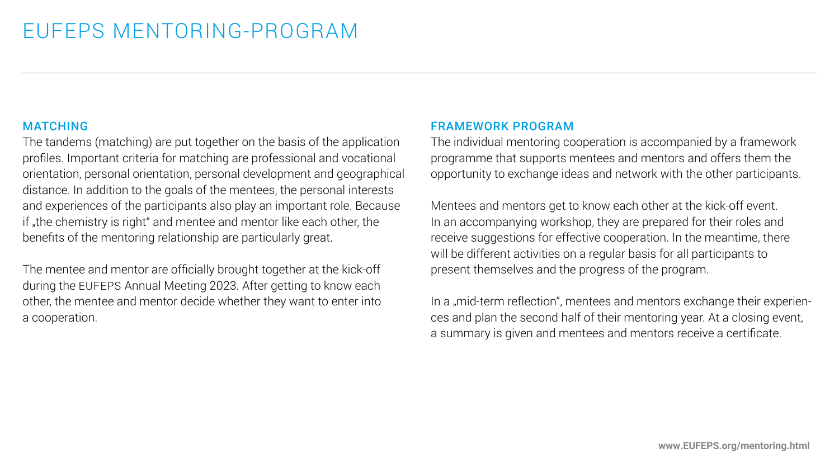#### MATCHING

The tandems (matching) are put together on the basis of the application profiles. Important criteria for matching are professional and vocational orientation, personal orientation, personal development and geographical distance. In addition to the goals of the mentees, the personal interests and experiences of the participants also play an important role. Because if "the chemistry is right" and mentee and mentor like each other, the benefits of the mentoring relationship are particularly great.

The mentee and mentor are officially brought together at the kick-off during the EUFEPS Annual Meeting 2023. After getting to know each other, the mentee and mentor decide whether they want to enter into a cooperation.

#### FRAMEWORK PROGRAM

The individual mentoring cooperation is accompanied by a framework programme that supports mentees and mentors and offers them the opportunity to exchange ideas and network with the other participants.

Mentees and mentors get to know each other at the kick-off event. In an accompanying workshop, they are prepared for their roles and receive suggestions for effective cooperation. In the meantime, there will be different activities on a regular basis for all participants to present themselves and the progress of the program.

In a "mid-term reflection", mentees and mentors exchange their experiences and plan the second half of their mentoring year. At a closing event, a summary is given and mentees and mentors receive a certificate.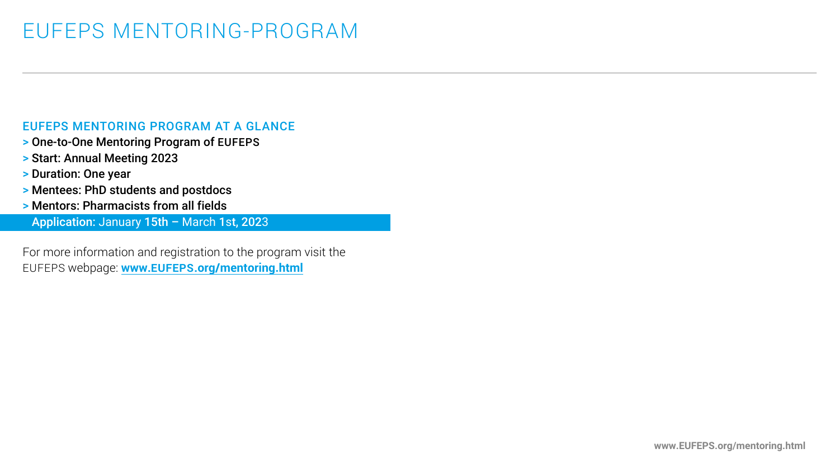### EUFEPS MENTORING-PROGRAM

#### EUFEPS MENTORING PROGRAM AT A GLANCE

- > One-to-One Mentoring Program of EUFEPS
- > Start: Annual Meeting 2023
- > Duration: One year
- > Mentees: PhD students and postdocs
- > Mentors: Pharmacists from all fields

> Application: January 15th – March 1st, 2023

For more information and registration to the program visit the EUFEPS webpage: **www.EUFEPS[.org/mentoring](https://eufeps.org/mentoring.html).html**